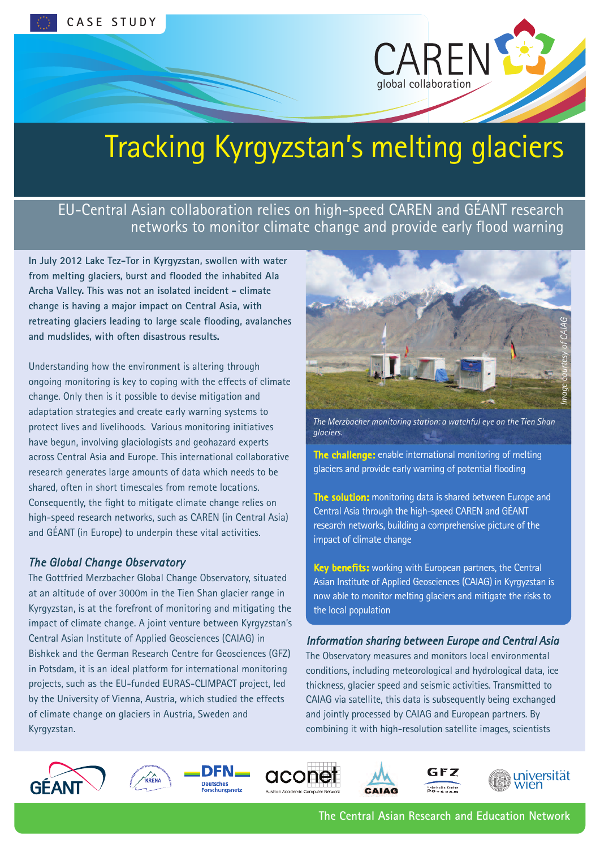

# Tracking Kyrgyzstan's melting glaciers

# EU-Central Asian collaboration relies on high-speed CAREN and GÉANT research networks to monitor climate change and provide early flood warning

**In July 2012 Lake Tez-Tor in Kyrgyzstan, swollen with water from melting glaciers, burst and flooded the inhabited Ala Archa Valley. This was not an isolated incident - climate change is having a major impact on Central Asia, with retreating glaciers leading to large scale flooding, avalanches and mudslides, with often disastrous results.**

Understanding how the environment is altering through ongoing monitoring is key to coping with the effects of climate change. Only then is it possible to devise mitigation and adaptation strategies and create early warning systems to protect lives and livelihoods. Various monitoring initiatives have begun, involving glaciologists and geohazard experts across Central Asia and Europe. This international collaborative research generates large amounts of data which needs to be shared, often in short timescales from remote locations. Consequently, the fight to mitigate climate change relies on high-speed research networks, such as CAREN (in Central Asia) and GÉANT (in Europe) to underpin these vital activities.

## *The Global Change Observatory*

The Gottfried Merzbacher Global Change Observatory, situated at an altitude of over 3000m in the Tien Shan glacier range in Kyrgyzstan, is at the forefront of monitoring and mitigating the impact of climate change. A joint venture between Kyrgyzstan's Central Asian Institute of Applied Geosciences (CAIAG) in Bishkek and the German Research Centre for Geosciences (GFZ) in Potsdam, it is an ideal platform for international monitoring projects, such as the EU-funded EURAS-CLIMPACT project, led by the University of Vienna, Austria, which studied the effects of climate change on glaciers in Austria, Sweden and Kyrgyzstan.



*The Merzbacher monitoring station: a watchful eye on the Tien Shan glaciers.*

**The challenge:** enable international monitoring of melting glaciers and provide early warning of potential flooding

**The solution:** monitoring data is shared between Europe and Central Asia through the high-speed CAREN and GÉANT research networks, building a comprehensive picture of the impact of climate change

**Key benefits:** working with European partners, the Central Asian Institute of Applied Geosciences (CAIAG) in Kyrgyzstan is now able to monitor melting glaciers and mitigate the risks to the local population

## *Information sharing between Europe and Central Asia*

The Observatory measures and monitors local environmental conditions, including meteorological and hydrological data, ice thickness, glacier speed and seismic activities. Transmitted to CAIAG via satellite, this data is subsequently being exchanged and jointly processed by CAIAG and European partners. By combining it with high-resolution satellite images, scientists





**Deutsches**